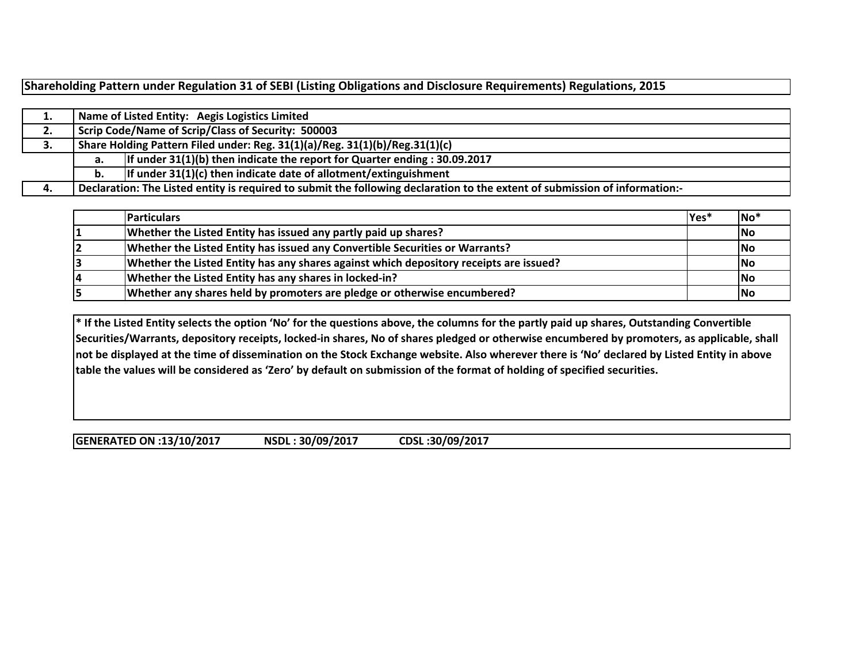**Shareholding Pattern under Regulation 31 of SEBI (Listing Obligations and Disclosure Requirements) Regulations, 2015**

| . . |                                                    | Name of Listed Entity: Aegis Logistics Limited                                                                              |  |  |  |  |  |  |  |  |  |
|-----|----------------------------------------------------|-----------------------------------------------------------------------------------------------------------------------------|--|--|--|--|--|--|--|--|--|
| 2.  | Scrip Code/Name of Scrip/Class of Security: 500003 |                                                                                                                             |  |  |  |  |  |  |  |  |  |
| З.  |                                                    | Share Holding Pattern Filed under: Reg. 31(1)(a)/Reg. 31(1)(b)/Reg.31(1)(c)                                                 |  |  |  |  |  |  |  |  |  |
|     | а.                                                 | If under $31(1)(b)$ then indicate the report for Quarter ending : 30.09.2017                                                |  |  |  |  |  |  |  |  |  |
|     |                                                    | If under $31(1)(c)$ then indicate date of allotment/extinguishment                                                          |  |  |  |  |  |  |  |  |  |
|     |                                                    | Declaration: The Listed entity is required to submit the following declaration to the extent of submission of information:- |  |  |  |  |  |  |  |  |  |

|    | <b>Particulars</b>                                                                     | $Yes*$ | $ No*$ |
|----|----------------------------------------------------------------------------------------|--------|--------|
|    | Whether the Listed Entity has issued any partly paid up shares?                        |        | No     |
|    | Whether the Listed Entity has issued any Convertible Securities or Warrants?           |        | No     |
|    | Whether the Listed Entity has any shares against which depository receipts are issued? |        | No     |
| 14 | Whether the Listed Entity has any shares in locked-in?                                 |        | No     |
| 15 | Whether any shares held by promoters are pledge or otherwise encumbered?               |        | No     |

**\* If the Listed Entity selects the option 'No' for the questions above, the columns for the partly paid up shares, Outstanding Convertible Securities/Warrants, depository receipts, locked-in shares, No of shares pledged or otherwise encumbered by promoters, as applicable, shall not be displayed at the time of dissemination on the Stock Exchange website. Also wherever there is 'No' declared by Listed Entity in above table the values will be considered as 'Zero' by default on submission of the format of holding of specified securities.**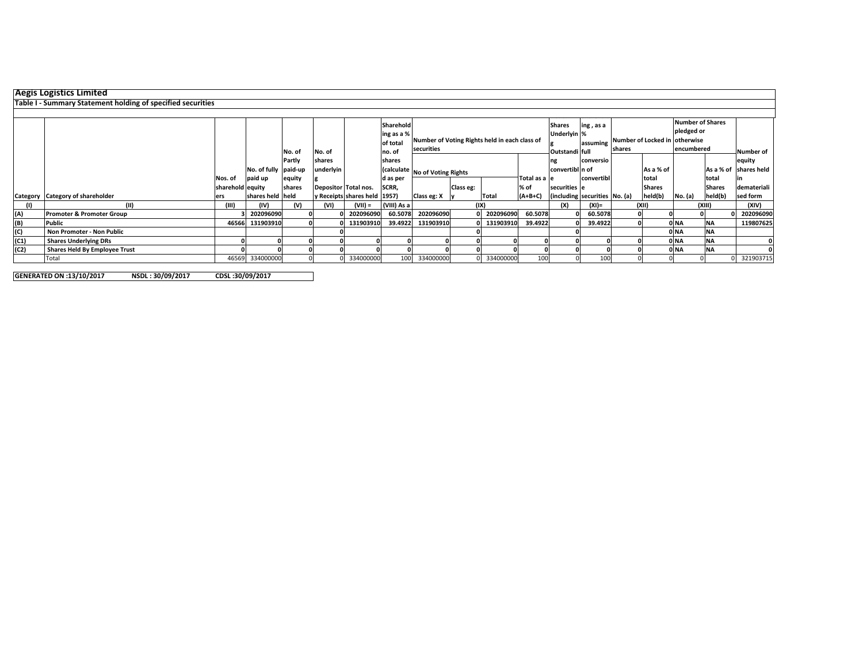|      | <b>Aegis Logistics Limited</b>                              |                  |                      |        |           |                               |             |                                               |                                |              |               |                 |                               |        |                                |                         |               |                        |
|------|-------------------------------------------------------------|------------------|----------------------|--------|-----------|-------------------------------|-------------|-----------------------------------------------|--------------------------------|--------------|---------------|-----------------|-------------------------------|--------|--------------------------------|-------------------------|---------------|------------------------|
|      | Table I - Summary Statement holding of specified securities |                  |                      |        |           |                               |             |                                               |                                |              |               |                 |                               |        |                                |                         |               |                        |
|      |                                                             |                  |                      |        |           |                               |             |                                               |                                |              |               |                 |                               |        |                                |                         |               |                        |
|      |                                                             |                  |                      |        |           |                               | Sharehold   |                                               |                                |              |               | <b>Shares</b>   | ing, as a                     |        |                                | <b>Number of Shares</b> |               |                        |
|      |                                                             |                  |                      |        |           |                               | ing as a %  |                                               |                                |              |               | Underlyin %     |                               |        |                                | pledged or              |               |                        |
|      |                                                             |                  |                      |        |           |                               | of total    | Number of Voting Rights held in each class of |                                |              |               |                 | assuming                      |        | Number of Locked in lotherwise |                         |               |                        |
|      |                                                             |                  |                      | No. of | No. of    |                               | no. of      | securities                                    |                                |              |               |                 |                               | shares |                                | encumbered              |               | <b>Number of</b>       |
|      |                                                             |                  |                      | Partly | shares    |                               | shares      |                                               |                                |              |               | ነደ              | conversio                     |        |                                |                         |               | equity                 |
|      |                                                             |                  | No. of fully paid-up |        | underlyin |                               |             |                                               | (calculate No of Voting Rights |              |               | convertibl n of |                               |        | As a % of                      |                         |               | As a % of Ishares held |
|      |                                                             | Nos. of          | paid up              | equity |           |                               | d as per    |                                               |                                |              | Total as a le |                 | convertibl                    |        | total                          |                         | <b>Itotal</b> |                        |
|      |                                                             | sharehold equity |                      | shares |           | Depositor Total nos.          | SCRR,       |                                               | Class eg:                      |              | % of          | securities e    |                               |        | <b>Shares</b>                  |                         | <b>Shares</b> | demateriali            |
|      | Category Category of shareholder                            | ers              | shares held held     |        |           | y Receipts shares held [1957] |             | Class eg: X y                                 |                                | <b>Total</b> | $(A+B+C)$     |                 | (including securities No. (a) |        | held(b)                        | No. (a)                 | held(b)       | sed form               |
| (1)  |                                                             | (III)            | (IV)                 |        | (IVI      | $(VII) =$                     | (VIII) As a |                                               | (IX)                           |              |               | (X)             | $(XI) =$                      |        | (XII)                          |                         | (XIII)        | (XIV)                  |
| (A)  | <b>Promoter &amp; Promoter Group</b>                        |                  | 202096090            |        |           | 202096090                     | 60.5078     | 202096090                                     |                                | 202096090    | 60.5078       |                 | 60.5078                       |        |                                |                         |               | 202096090              |
| (B)  | Public                                                      |                  | 46566 131903910      |        |           | 131903910                     | 39.4922     | 131903910                                     |                                | 0 131903910  | 39.4922       |                 | 39.4922                       |        |                                | 0 NA                    | <b>NA</b>     | 119807625              |
| (C)  | Non Promoter - Non Public                                   |                  |                      |        |           |                               |             |                                               |                                |              |               |                 |                               |        |                                | 0 <sub>NA</sub>         | <b>NA</b>     |                        |
| (C1) | <b>Shares Underlying DRs</b>                                | 0                |                      |        |           |                               |             |                                               |                                |              |               |                 |                               |        |                                | 0 <sub>NA</sub>         | <b>INA</b>    |                        |
| (C2) | <b>Shares Held By Employee Trust</b>                        |                  |                      |        |           |                               |             |                                               |                                |              |               |                 |                               |        |                                | 0 <sub>NA</sub>         | <b>NA</b>     |                        |
|      | Total                                                       |                  | 46569 334000000      |        |           | 334000000                     | 100         | 334000000                                     |                                | 334000000    | 100           |                 | 10 <sup>c</sup>               |        |                                |                         |               | 321903715              |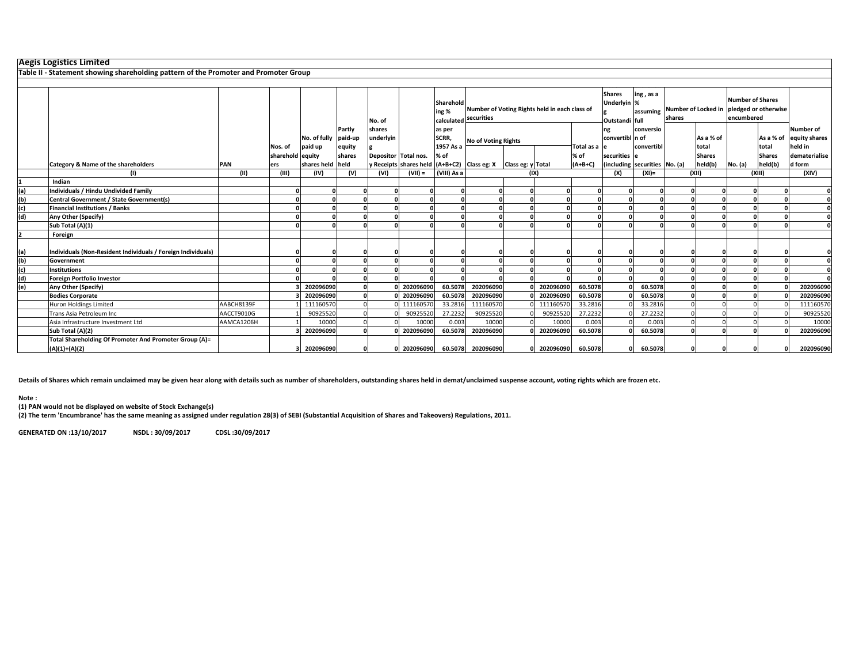|     | <b>Aegis Logistics Limited</b>                                                       |            |                             |                         |                  |                      |           |                    |                                                                        |          |             |            |                                                |                               |                                                    |                    |                                       |                    |                          |
|-----|--------------------------------------------------------------------------------------|------------|-----------------------------|-------------------------|------------------|----------------------|-----------|--------------------|------------------------------------------------------------------------|----------|-------------|------------|------------------------------------------------|-------------------------------|----------------------------------------------------|--------------------|---------------------------------------|--------------------|--------------------------|
|     | Table II - Statement showing shareholding pattern of the Promoter and Promoter Group |            |                             |                         |                  |                      |           |                    |                                                                        |          |             |            |                                                |                               |                                                    |                    |                                       |                    |                          |
|     |                                                                                      |            |                             |                         |                  |                      |           |                    |                                                                        |          |             |            |                                                |                               |                                                    |                    |                                       |                    |                          |
|     |                                                                                      |            |                             |                         |                  | No. of               |           | Sharehold<br>ing % | Number of Voting Rights held in each class of<br>calculated securities |          |             |            | <b>Shares</b><br>Underlyin %<br>Outstandi full | ing, as a<br>assuming         | Number of Locked in pledged or otherwise<br>shares |                    | <b>Number of Shares</b><br>encumbered |                    |                          |
|     |                                                                                      |            |                             |                         | Partly           | shares               |           | as per             |                                                                        |          |             |            | ng                                             | conversio                     |                                                    |                    |                                       |                    | <b>Number of</b>         |
|     |                                                                                      |            |                             | No. of fully<br>paid up | paid-up          | underlyin            |           | SCRR,<br>1957 As a | <b>No of Voting Rights</b>                                             |          |             | Total as a | convertibl n of                                | convertibl                    |                                                    | As a % of<br>total |                                       | As a % of<br>total | equity shares<br>held in |
|     |                                                                                      |            | Nos. of<br>sharehold equity |                         | equity<br>shares | Depositor Total nos. |           | % of               |                                                                        |          |             | % of       | securities e                                   |                               |                                                    | <b>Shares</b>      |                                       | <b>Shares</b>      | dematerialise            |
|     | Category & Name of the shareholders                                                  | PAN        | ers                         | shares held held        |                  |                      |           |                    | / Receipts shares held (A+B+C2) Class eg: X Class eg: y Total          |          |             | $(A+B+C)$  |                                                | (including securities No. (a) |                                                    | held(b)            | No. (a)                               | held(b)            | d form                   |
|     | (1)                                                                                  | (11)       | (III)                       | (IV)                    | (V)              | (VI)                 | $(VII) =$ | (VIII) As a        |                                                                        |          | (IX)        |            | (X)                                            | $(XI) =$                      | (XII)                                              |                    |                                       | (XIII)             | (XIV)                    |
|     | Indian                                                                               |            |                             |                         |                  |                      |           |                    |                                                                        |          |             |            |                                                |                               |                                                    |                    |                                       |                    |                          |
| (a) | Individuals / Hindu Undivided Family                                                 |            |                             |                         |                  |                      |           |                    |                                                                        | $\Omega$ |             |            |                                                |                               |                                                    |                    |                                       |                    |                          |
| (b) | Central Government / State Government(s)                                             |            |                             |                         |                  |                      |           |                    |                                                                        |          |             |            |                                                |                               |                                                    |                    |                                       |                    |                          |
| (c) | <b>Financial Institutions / Banks</b>                                                |            |                             |                         |                  |                      |           |                    |                                                                        |          |             |            |                                                |                               |                                                    |                    |                                       |                    | <sup>0</sup>             |
| (d) | Any Other (Specify)                                                                  |            |                             |                         |                  |                      |           |                    | $\Omega$                                                               |          |             |            |                                                |                               |                                                    |                    |                                       |                    | $\mathbf{0}$             |
|     | Sub Total (A)(1)                                                                     |            |                             |                         |                  |                      |           |                    |                                                                        |          |             |            |                                                |                               |                                                    |                    |                                       |                    |                          |
|     | Foreign                                                                              |            |                             |                         |                  |                      |           |                    |                                                                        |          |             |            |                                                |                               |                                                    |                    |                                       |                    |                          |
| (a) | Individuals (Non-Resident Individuals / Foreign Individuals)                         |            |                             |                         |                  |                      |           |                    |                                                                        |          |             |            |                                                |                               |                                                    |                    |                                       |                    |                          |
| (b) | Government                                                                           |            |                             |                         |                  |                      |           |                    |                                                                        | $\Omega$ |             |            |                                                |                               |                                                    |                    |                                       |                    | $\Omega$                 |
| (c) | <b>Institutions</b>                                                                  |            |                             |                         |                  |                      |           |                    |                                                                        |          |             |            |                                                |                               |                                                    |                    |                                       |                    |                          |
| (d) | <b>Foreign Portfolio Investor</b>                                                    |            |                             |                         |                  |                      |           |                    |                                                                        | $\sim$   |             |            |                                                |                               |                                                    |                    |                                       |                    | n                        |
| (e) | Any Other (Specify)                                                                  |            |                             | 202096090               |                  |                      | 202096090 | 60.5078            | 202096090                                                              |          | 202096090   | 60.5078    |                                                | 60.5078                       |                                                    |                    |                                       |                    | 202096090                |
|     | <b>Bodies Corporate</b>                                                              |            |                             | 202096090               |                  |                      | 202096090 | 60.5078            | 202096090                                                              |          | 202096090   | 60.5078    |                                                | 60.5078                       |                                                    |                    |                                       |                    | 202096090                |
|     | Huron Holdings Limited                                                               | AABCH8139F |                             | 111160570               |                  |                      | 111160570 | 33.2816            | 111160570                                                              |          | 111160570   | 33.2816    |                                                | 33.2816                       |                                                    |                    |                                       |                    | 111160570                |
|     | Trans Asia Petroleum Inc                                                             | AACCT9010G |                             | 90925520                |                  |                      | 9092552   | 27.2232            | 90925520                                                               |          | 90925520    | 27.2232    |                                                | 27.2232                       |                                                    |                    |                                       |                    | 90925520                 |
|     | Asia Infrastructure Investment Ltd                                                   | AAMCA1206H |                             | 10000                   |                  |                      | 10000     | 0.003              | 10000                                                                  |          | 10000       | 0.003      |                                                | 0.003                         |                                                    |                    |                                       |                    | 10000                    |
|     | Sub Total (A)(2)                                                                     |            |                             | 202096090               |                  |                      | 202096090 | 60.5078            | 202096090                                                              |          | 0 202096090 | 60.5078    |                                                | 60.5078                       |                                                    |                    |                                       |                    | 202096090                |
|     | Total Shareholding Of Promoter And Promoter Group (A)=<br>$(A)(1)+(A)(2)$            |            |                             | 202096090               |                  |                      | 202096090 |                    | 60.5078 202096090                                                      |          | 0 202096090 | 60.5078    | O                                              | 60.5078                       |                                                    |                    |                                       |                    | 202096090                |

**Details of Shares which remain unclaimed may be given hear along with details such as number of shareholders, outstanding shares held in demat/unclaimed suspense account, voting rights which are frozen etc.**

**Note :**

**(1) PAN would not be displayed on website of Stock Exchange(s)** 

**(2) The term 'Encumbrance' has the same meaning as assigned under regulation 28(3) of SEBI (Substantial Acquisition of Shares and Takeovers) Regulations, 2011.**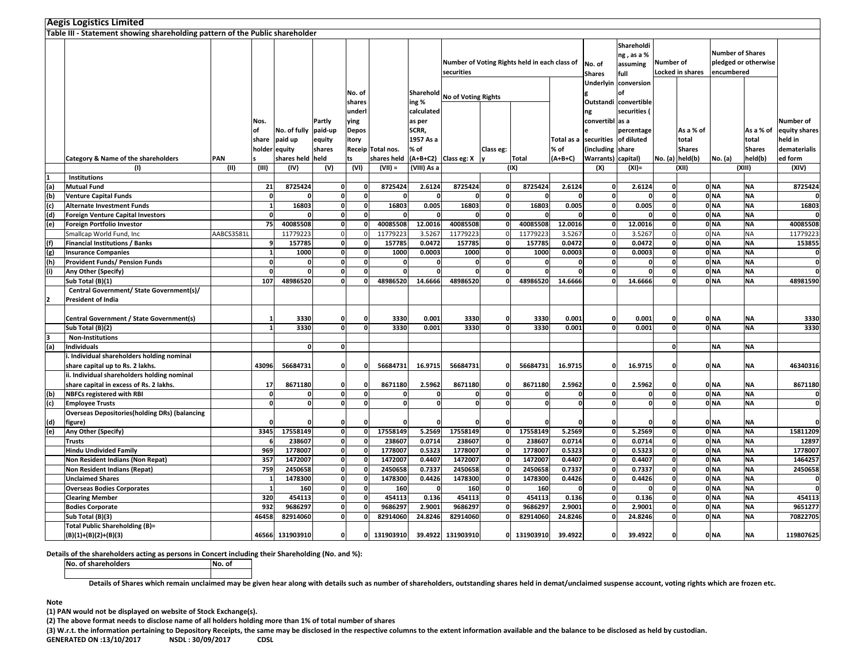|     | <b>Aegis Logistics Limited</b>                                               |            |          |                      |              |              |                   |             |                            |              |                                               |              |                         |                                               |                               |                 |                                                               |               |               |
|-----|------------------------------------------------------------------------------|------------|----------|----------------------|--------------|--------------|-------------------|-------------|----------------------------|--------------|-----------------------------------------------|--------------|-------------------------|-----------------------------------------------|-------------------------------|-----------------|---------------------------------------------------------------|---------------|---------------|
|     | Table III - Statement showing shareholding pattern of the Public shareholder |            |          |                      |              |              |                   |             |                            |              |                                               |              |                         |                                               |                               |                 |                                                               |               |               |
|     |                                                                              |            |          |                      |              |              |                   |             | securities                 |              | Number of Voting Rights held in each class of |              | No. of<br><b>Shares</b> | Shareholdi<br>ng , as a %<br>assuming<br>full | Number of<br>Locked in shares |                 | <b>Number of Shares</b><br>pledged or otherwise<br>encumbered |               |               |
|     |                                                                              |            |          |                      |              | No. of       |                   | Sharehold   |                            |              |                                               |              | Underlyin               | conversion<br>of                              |                               |                 |                                                               |               |               |
|     |                                                                              |            |          |                      |              | shares       |                   | ing %       | <b>No of Voting Rights</b> |              |                                               |              |                         | Outstandi convertible                         |                               |                 |                                                               |               |               |
|     |                                                                              |            |          |                      |              | underl       |                   | calculated  |                            |              |                                               |              | ng                      | securities (                                  |                               |                 |                                                               |               |               |
|     |                                                                              |            | Nos.     |                      | Partly       | ying         |                   | as per      |                            |              |                                               |              | convertibl as a         |                                               |                               |                 |                                                               |               | Number of     |
|     |                                                                              |            | οf       | No. of fully paid-up |              | Depos        |                   | SCRR,       |                            |              |                                               |              |                         | percentage                                    |                               | As a % of       |                                                               | As a % of     | equity shares |
|     |                                                                              |            | share    | paid up              | equity       | itory        |                   | 1957 As a   |                            |              |                                               | Total as a   | securities              | of diluted                                    |                               | total           |                                                               | total         | held in       |
|     |                                                                              |            |          | holder equity        | shares       |              | Receip Total nos. | % of        |                            | Class eg:    |                                               | % of         | (including              | share                                         |                               | <b>Shares</b>   |                                                               | <b>Shares</b> | dematerialis  |
|     | Category & Name of the shareholders                                          | PAN        |          | shares held held     |              | ts           | shares held       |             | (A+B+C2) Class eg: X       |              | Total                                         | $(A+B+C)$    | Warrants) capital)      |                                               |                               | No. (a) held(b) | No. (a)                                                       | held(b)       | ed form       |
|     | (1)                                                                          | (II)       | (III)    | (IV)                 | (V)          | (VI)         | $(VII) =$         | (VIII) As a |                            |              | (IX)                                          |              | (X)                     | $(XI) =$                                      |                               | (XII)           |                                                               | (XIII)        | (XIV)         |
|     | Institutions                                                                 |            |          |                      |              |              |                   |             |                            |              |                                               |              |                         |                                               |                               |                 |                                                               |               |               |
| (a) | <b>Mutual Fund</b>                                                           |            | 21       | 8725424              | 0            |              | 8725424           | 2.6124      | 8725424                    | $\mathbf{0}$ | 8725424                                       | 2.6124       |                         | 2.6124                                        | $\mathbf{0}$                  |                 | 0 <sub>NA</sub>                                               | <b>NA</b>     | 8725424       |
| (b) | <b>Venture Capital Funds</b>                                                 |            |          |                      | 0            | O            |                   |             |                            | $\mathbf 0$  |                                               |              |                         |                                               | $\overline{\mathbf{0}}$       |                 | 0 <sub>NA</sub>                                               | <b>NA</b>     |               |
| (c) | <b>Alternate Investment Funds</b>                                            |            |          | 16803                | $\mathbf{0}$ | 0            | 16803             | 0.005       | 16803                      | $\mathbf 0$  | 16803                                         | 0.005        | $\mathbf{0}$            | 0.005                                         | $\mathbf{0}$                  |                 | 0 <sub>NA</sub>                                               | <b>NA</b>     | 16803         |
| (d) | <b>Foreign Venture Capital Investors</b>                                     |            | $\Omega$ | O                    | $\mathbf{0}$ | $\Omega$     | -C                |             |                            | $\mathbf 0$  | $\Omega$                                      | $\Omega$     | $\mathbf{0}$            | - 0                                           | $\mathbf{0}$                  |                 | 0 <sub>NA</sub>                                               | <b>NA</b>     |               |
| (e) | Foreign Portfolio Investor                                                   |            | 75       | 40085508             | $\mathbf{0}$ |              | 40085508          | 12.0016     | 40085508                   | $\mathbf 0$  | 40085508                                      | 12.0016      |                         | 12.0016                                       | $\mathbf{0}$                  |                 | 0 <sub>NA</sub>                                               | <b>NA</b>     | 40085508      |
|     | Smallcap World Fund, Inc                                                     | AABCS3581L |          | 11779223             | $\Omega$     |              | 11779223          | 3.5267      | 11779223                   | $\Omega$     | 11779223                                      | 3.5267       |                         | 3.5267                                        | $\Omega$                      |                 | 0 <sub>NA</sub>                                               | <b>NA</b>     | 11779223      |
| (f) | <b>Financial Institutions / Banks</b>                                        |            |          | 157785               | $\mathbf{0}$ | $\Omega$     | 157785            | 0.0472      | 157785                     | $\mathbf 0$  | 157785                                        | 0.0472       |                         | 0.0472                                        | $\mathbf{0}$                  |                 | 0 <sub>NA</sub>                                               | <b>NA</b>     | 153855        |
| (g) | <b>Insurance Companies</b>                                                   |            |          | 1000                 | $\mathbf{0}$ | 0            | 1000              | 0.0003      | 1000                       | $\mathbf{o}$ | 1000                                          | 0.0003       |                         | 0.0003                                        | $\mathbf{0}$                  |                 | 0 <sub>NA</sub>                                               | <b>NA</b>     | 0             |
| (h) | <b>Provident Funds/ Pension Funds</b>                                        |            |          | 0                    | $\mathbf 0$  | $\Omega$     |                   |             |                            | $\mathbf 0$  | $\Omega$                                      |              |                         |                                               | $\mathbf{0}$                  |                 | 0 <sub>NA</sub>                                               | <b>NA</b>     | $\bullet$     |
| (i) | Any Other (Specify)                                                          |            |          | $\mathbf{0}$         | $\mathbf{0}$ | <sup>n</sup> | f.                | n           | $\mathbf{r}$               | $\mathbf 0$  | 0                                             | $\Omega$     | 0                       | $\Omega$                                      | $\mathbf{0}$                  |                 | 0 <sub>NA</sub>                                               | <b>NA</b>     | $\mathbf 0$   |
|     | Sub Total (B)(1)                                                             |            | 107      | 48986520             | $\Omega$     |              | 48986520          | 14.6666     | 48986520                   | $\Omega$     | 48986520                                      | 14.6666      |                         | 14.6666                                       | $\Omega$                      |                 | 0 <sub>NA</sub>                                               | <b>NA</b>     | 48981590      |
|     | Central Government/ State Government(s)/                                     |            |          |                      |              |              |                   |             |                            |              |                                               |              |                         |                                               |                               |                 |                                                               |               |               |
|     | <b>President of India</b>                                                    |            |          |                      |              |              |                   |             |                            |              |                                               |              |                         |                                               |                               |                 |                                                               |               |               |
|     |                                                                              |            |          |                      |              |              |                   |             |                            |              |                                               |              |                         |                                               |                               |                 |                                                               |               |               |
|     | Central Government / State Government(s)                                     |            |          | 3330                 | 0            |              | 3330              | 0.001       | 3330                       | $\mathbf 0$  | 3330                                          | 0.001        |                         | 0.001                                         | $\mathbf{0}$                  |                 | 0 NA                                                          | <b>NA</b>     | 3330          |
|     | Sub Total (B)(2)                                                             |            |          | 3330                 | $\mathbf{0}$ | <b>n</b>     | 3330              | 0.001       | 3330                       | $\mathbf 0$  | 3330                                          | 0.001        |                         | 0.001                                         | $\mathbf{o}$                  |                 | 0 <sub>NA</sub>                                               | <b>NA</b>     | 3330          |
| з   | <b>Non-Institutions</b>                                                      |            |          |                      |              |              |                   |             |                            |              |                                               |              |                         |                                               |                               |                 |                                                               |               |               |
| (a) | <b>Individuals</b>                                                           |            |          | $\mathbf{0}$         | 0            |              |                   |             |                            |              |                                               |              |                         |                                               | $\mathbf{0}$                  |                 | <b>NA</b>                                                     | <b>NA</b>     |               |
|     | i. Individual shareholders holding nominal                                   |            |          |                      |              |              |                   |             |                            |              |                                               |              |                         |                                               |                               |                 |                                                               |               |               |
|     | share capital up to Rs. 2 lakhs.                                             |            | 43096    | 56684731             | O            |              | 56684731          | 16.9715     | 56684731                   | $\mathbf{0}$ | 56684731                                      | 16.9715      |                         | 16.9715                                       | $\mathbf{0}$                  |                 | 0 NA                                                          | <b>NA</b>     | 46340316      |
|     | ii. Individual shareholders holding nominal                                  |            |          |                      |              |              |                   |             |                            |              |                                               |              |                         |                                               |                               |                 |                                                               |               |               |
|     | share capital in excess of Rs. 2 lakhs.                                      |            | 17       | 8671180              | 0            |              | 8671180           | 2.5962      | 8671180                    | $\mathbf{0}$ | 8671180                                       | 2.5962       |                         | 2.5962                                        | $\mathbf{0}$                  |                 | 0 <sub>NA</sub>                                               | <b>NA</b>     | 8671180       |
| (b) | <b>NBFCs registered with RBI</b>                                             |            | $\Omega$ | 0                    | $\mathbf{0}$ | $\Omega$     | $\mathbf 0$       | O           | $\Omega$                   | $\mathbf 0$  | o                                             | $\mathbf{0}$ | $\Omega$                | $\Omega$                                      | $\mathbf{0}$                  |                 | 0 <sub>NA</sub>                                               | <b>NA</b>     | $\mathbf 0$   |
| (c) | <b>Employee Trusts</b>                                                       |            | O        | $\mathbf{0}$         | $\mathbf 0$  | $\mathbf{0}$ | $\mathbf 0$       | $\Omega$    | $\Omega$                   | $\mathbf{o}$ | $\mathbf{0}$                                  | $\mathbf{0}$ | $\mathbf{0}$            | 0                                             | $\mathbf{0}$                  |                 | 0 <sub>NA</sub>                                               | <b>NA</b>     | $\mathbf{0}$  |
|     | <b>Overseas Depositories (holding DRs) (balancing</b>                        |            |          |                      |              |              |                   |             |                            |              |                                               |              |                         |                                               |                               |                 |                                                               |               |               |
| (d) | figure)                                                                      |            |          |                      | $\mathbf{0}$ |              |                   |             |                            | $\mathbf{0}$ | $\Omega$                                      |              |                         |                                               | $\mathbf{0}$                  |                 | 0 <sub>NA</sub>                                               | <b>NA</b>     | $\mathbf{0}$  |
| (e) | Any Other (Specify)                                                          |            | 3345     | 17558149             | $\mathbf 0$  | $\Omega$     | 17558149          | 5.2569      | 17558149                   | $\mathbf{o}$ | 17558149                                      | 5.2569       | $\Omega$                | 5.2569                                        | $\mathbf 0$                   |                 | 0 <sub>NA</sub>                                               | <b>NA</b>     | 15811209      |
|     | <b>Trusts</b>                                                                |            |          | 238607               | $\mathbf{0}$ | O            | 238607            | 0.0714      | 238607                     | $\mathbf 0$  | 238607                                        | 0.0714       |                         | 0.0714                                        | $\mathbf{0}$                  |                 | 0 <sub>NA</sub>                                               | <b>NA</b>     | 12897         |
|     | <b>Hindu Undivided Family</b>                                                |            | 969      | 1778007              | $\mathbf 0$  |              | 1778007           | 0.5323      | 1778007                    | $\mathbf 0$  | 1778007                                       | 0.5323       |                         | 0.5323                                        | $\mathbf 0$                   |                 | 0 <sub>NA</sub>                                               | <b>NA</b>     | 1778007       |
|     | Non Resident Indians (Non Repat)                                             |            | 357      | 1472007              | $\mathbf{0}$ | O            | 1472007           | 0.4407      | 1472007                    | 0            | 1472007                                       | 0.4407       |                         | 0.4407                                        | $\mathbf{0}$                  |                 | 0 <sub>NA</sub>                                               | <b>NA</b>     | 1464257       |
|     | <b>Non Resident Indians (Repat)</b>                                          |            | 759      | 2450658              | $\mathbf{0}$ | O            | 2450658           | 0.7337      | 2450658                    | $\mathbf 0$  | 2450658                                       | 0.7337       | $\Omega$                | 0.7337                                        | $\mathbf{0}$                  |                 | 0 <sub>NA</sub>                                               | <b>NA</b>     | 2450658       |
|     | <b>Unclaimed Shares</b>                                                      |            |          | 1478300              | $\Omega$     |              | 1478300           | 0.4426      | 1478300                    | $\mathbf 0$  | 1478300                                       | 0.4426       |                         | 0.4426                                        | $\mathbf 0$                   |                 | 0 <sub>NA</sub>                                               | <b>NA</b>     | 0             |
|     | <b>Overseas Bodies Corporates</b>                                            |            |          | 160                  | $\mathbf 0$  | O            | 160               |             | 160                        | $\mathbf 0$  | 160                                           |              |                         |                                               | $\mathbf{0}$                  |                 | 0 <sub>NA</sub>                                               | <b>NA</b>     | $\mathbf{0}$  |
|     | <b>Clearing Member</b>                                                       |            | 320      | 454113               | $\mathbf{0}$ | O            | 454113            | 0.136       | 454113                     | $\mathbf{0}$ | 454113                                        | 0.136        |                         | 0.136                                         | $\mathbf{0}$                  |                 | 0 <sub>NA</sub>                                               | <b>NA</b>     | 454113        |
|     | <b>Bodies Corporate</b>                                                      |            | 932      | 9686297              | $\mathbf{0}$ |              | 9686297           | 2.9001      | 9686297                    | $\mathbf{0}$ | 9686297                                       | 2.9001       |                         | 2.9001                                        | $\mathbf{0}$                  |                 | 0 <sub>NA</sub>                                               | <b>NA</b>     | 9651277       |
|     | Sub Total (B)(3)                                                             |            | 46458    | 82914060             | $\mathbf{0}$ |              | 82914060          | 24.8246     | 82914060                   | $\mathbf 0$  | 82914060                                      | 24.8246      |                         | 24.8246                                       | $\mathbf{0}$                  |                 | 0 <sub>NA</sub>                                               | <b>NA</b>     | 70822705      |
|     | <b>Total Public Shareholding (B)=</b>                                        |            |          |                      |              |              |                   |             |                            |              |                                               |              |                         |                                               | $\mathbf{0}$                  |                 |                                                               |               |               |
|     | $(B)(1)+(B)(2)+(B)(3)$                                                       |            |          | 46566 131903910      | $\mathbf{0}$ | n            | 131903910         |             | 39.4922 131903910          |              | 0 131903910                                   | 39.4922      |                         | 39.4922                                       |                               |                 | 0 <sub>NA</sub>                                               | <b>NA</b>     | 119807625     |

**Details of the shareholders acting as persons in Concert including their Shareholding (No. and %):**

**No. of shareholdersNo. of** 

**Details of Shares which remain unclaimed may be given hear along with details such as number of shareholders, outstanding shares held in demat/unclaimed suspense account, voting rights which are frozen etc.**

## **Note**

**(1) PAN would not be displayed on website of Stock Exchange(s).** 

**(2) The above format needs to disclose name of all holders holding more than 1% of total number of shares**

**(3) W.r.t. the information pertaining to Depository Receipts, the same may be disclosed in the respective columns to the extent information available and the balance to be disclosed as held by custodian.**